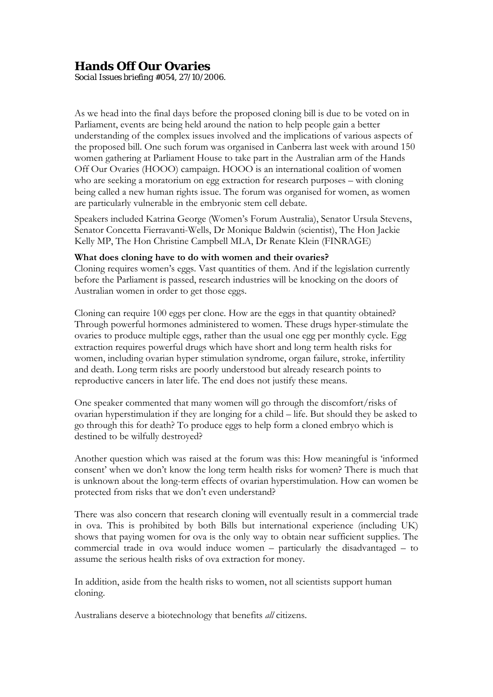## **Hands Off Our Ovaries**

*Social Issues briefing #054, 27/10/2006.*

As we head into the final days before the proposed cloning bill is due to be voted on in Parliament, events are being held around the nation to help people gain a better understanding of the complex issues involved and the implications of various aspects of the proposed bill. One such forum was organised in Canberra last week with around 150 women gathering at Parliament House to take part in the Australian arm of the Hands Off Our Ovaries (HOOO) campaign. HOOO is an international coalition of women who are seeking a moratorium on egg extraction for research purposes – with cloning being called a new human rights issue. The forum was organised for women, as women are particularly vulnerable in the embryonic stem cell debate.

Speakers included Katrina George (Women's Forum Australia), Senator Ursula Stevens, Senator Concetta Fierravanti-Wells, Dr Monique Baldwin (scientist), The Hon Jackie Kelly MP, The Hon Christine Campbell MLA, Dr Renate Klein (FINRAGE)

## **What does cloning have to do with women and their ovaries?**

Cloning requires women's eggs. Vast quantities of them. And if the legislation currently before the Parliament is passed, research industries will be knocking on the doors of Australian women in order to get those eggs.

Cloning can require 100 eggs per clone. How are the eggs in that quantity obtained? Through powerful hormones administered to women. These drugs hyper-stimulate the ovaries to produce multiple eggs, rather than the usual one egg per monthly cycle. Egg extraction requires powerful drugs which have short and long term health risks for women, including ovarian hyper stimulation syndrome, organ failure, stroke, infertility and death. Long term risks are poorly understood but already research points to reproductive cancers in later life. The end does not justify these means.

One speaker commented that many women will go through the discomfort/risks of ovarian hyperstimulation if they are longing for a child – life. But should they be asked to go through this for death? To produce eggs to help form a cloned embryo which is destined to be wilfully destroyed?

Another question which was raised at the forum was this: How meaningful is 'informed consent' when we don't know the long term health risks for women? There is much that is unknown about the long-term effects of ovarian hyperstimulation. How can women be protected from risks that we don't even understand?

There was also concern that research cloning will eventually result in a commercial trade in ova. This is prohibited by both Bills but international experience (including UK) shows that paying women for ova is the only way to obtain near sufficient supplies. The commercial trade in ova would induce women – particularly the disadvantaged – to assume the serious health risks of ova extraction for money.

In addition, aside from the health risks to women, not all scientists support human cloning.

Australians deserve a biotechnology that benefits *all* citizens.